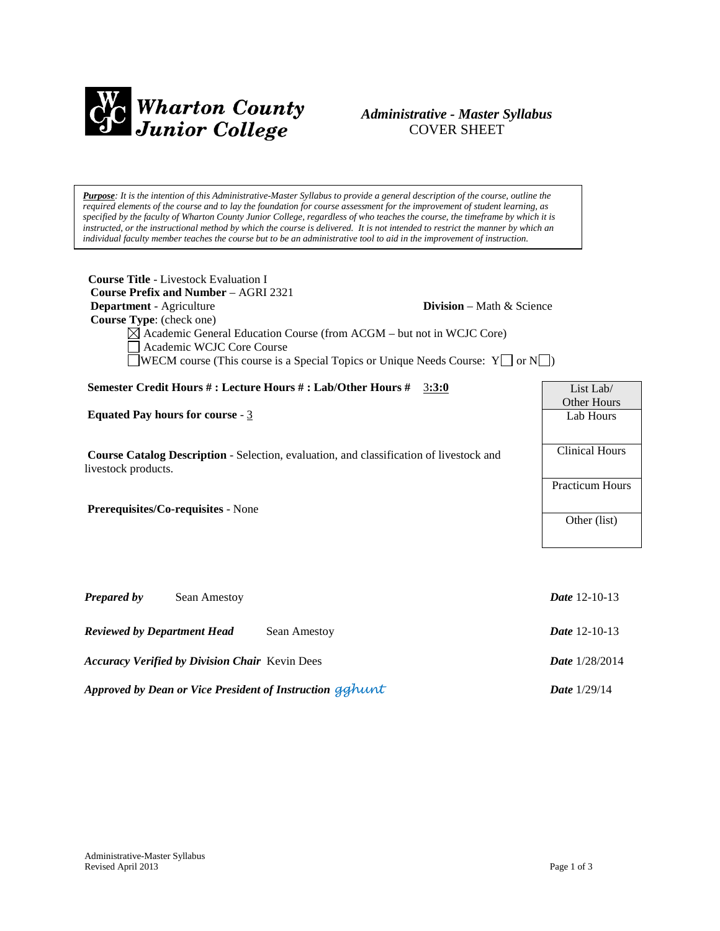

# *Administrative - Master Syllabus*  COVER SHEET

*Purpose: It is the intention of this Administrative-Master Syllabus to provide a general description of the course, outline the required elements of the course and to lay the foundation for course assessment for the improvement of student learning, as specified by the faculty of Wharton County Junior College, regardless of who teaches the course, the timeframe by which it is instructed, or the instructional method by which the course is delivered. It is not intended to restrict the manner by which an individual faculty member teaches the course but to be an administrative tool to aid in the improvement of instruction.*

| <b>Course Title - Livestock Evaluation I</b><br><b>Course Prefix and Number - AGRI 2321</b><br>Department - Agriculture<br>Course Type: (check one)<br>Academic WCJC Core Course | <b>Division</b> – Math $\&$ Science<br>$\boxtimes$ Academic General Education Course (from ACGM – but not in WCJC Core)<br><b>NECM</b> course (This course is a Special Topics or Unique Needs Course: $Y \cup \sigma N \cup \sigma$ |                          |
|----------------------------------------------------------------------------------------------------------------------------------------------------------------------------------|--------------------------------------------------------------------------------------------------------------------------------------------------------------------------------------------------------------------------------------|--------------------------|
| Semester Credit Hours #: Lecture Hours #: Lab/Other Hours #                                                                                                                      | 3:3:0                                                                                                                                                                                                                                | List Lab/                |
| Equated Pay hours for course - $3$                                                                                                                                               |                                                                                                                                                                                                                                      | Other Hours<br>Lab Hours |
|                                                                                                                                                                                  |                                                                                                                                                                                                                                      |                          |
| <b>Course Catalog Description - Selection, evaluation, and classification of livestock and</b><br>livestock products.                                                            |                                                                                                                                                                                                                                      | <b>Clinical Hours</b>    |
|                                                                                                                                                                                  |                                                                                                                                                                                                                                      | <b>Practicum Hours</b>   |
| Prerequisites/Co-requisites - None                                                                                                                                               |                                                                                                                                                                                                                                      | Other (list)             |
|                                                                                                                                                                                  |                                                                                                                                                                                                                                      |                          |
|                                                                                                                                                                                  |                                                                                                                                                                                                                                      |                          |
| <b>Prepared by</b><br>Sean Amestoy                                                                                                                                               |                                                                                                                                                                                                                                      | <b>Date</b> 12-10-13     |
| <b>Reviewed by Department Head</b>                                                                                                                                               | Sean Amestoy                                                                                                                                                                                                                         | <b>Date</b> 12-10-13     |
| <b>Accuracy Verified by Division Chair Kevin Dees</b>                                                                                                                            |                                                                                                                                                                                                                                      | Date 1/28/2014           |
|                                                                                                                                                                                  |                                                                                                                                                                                                                                      |                          |

*Approved by Dean or Vice President of Instruction gghunt Date* 1/29/14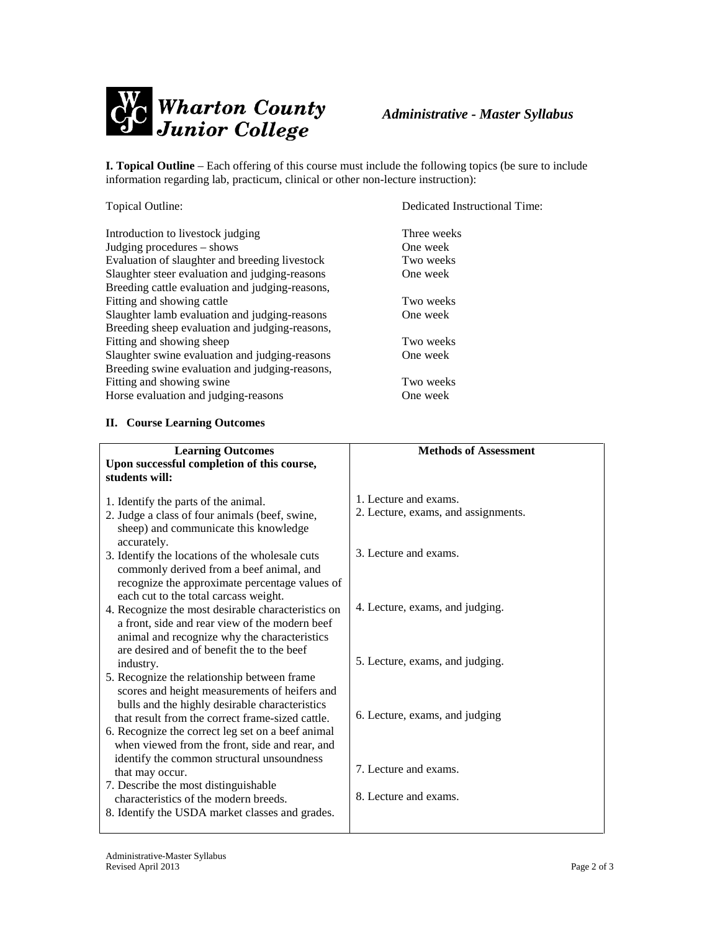

**I. Topical Outline** – Each offering of this course must include the following topics (be sure to include information regarding lab, practicum, clinical or other non-lecture instruction):

Introduction to livestock judging<br>
Indeine procedures – shows<br>
One week Judging procedures  $-$  shows Evaluation of slaughter and bree Slaughter steer evaluation and ju Breeding cattle evaluation and ju Fitting and showing cattle Slaughter lamb evaluation and ju Breeding sheep evaluation and ju Fitting and showing sheep Slaughter swine evaluation and Breeding swine evaluation and ju Fitting and showing swine Horse evaluation and judging-reasons

Topical Outline: Dedicated Instructional Time:

| Evaluation of slaughter and breeding livestock<br>Slaughter steer evaluation and judging-reasons<br>Breeding cattle evaluation and judging-reasons,<br>Fitting and showing cattle<br>Slaughter lamb evaluation and judging-reasons<br>Breeding sheep evaluation and judging-reasons,<br>Fitting and showing sheep | Two weeks<br>One week<br>Two weeks<br>One week<br>Two weeks |
|-------------------------------------------------------------------------------------------------------------------------------------------------------------------------------------------------------------------------------------------------------------------------------------------------------------------|-------------------------------------------------------------|
| Slaughter swine evaluation and judging-reasons<br>Breeding swine evaluation and judging-reasons,                                                                                                                                                                                                                  | One week                                                    |
| Fitting and showing swine                                                                                                                                                                                                                                                                                         | Two weeks                                                   |
| Horse evaluation and judging-reasons                                                                                                                                                                                                                                                                              | One week                                                    |
| <b>II.</b> Course Learning Outcomes                                                                                                                                                                                                                                                                               |                                                             |
| <b>Learning Outcomes</b><br>Upon successful completion of this course,<br>students will:                                                                                                                                                                                                                          | <b>Methods of Assessment</b>                                |
| 1. Identify the parts of the animal.                                                                                                                                                                                                                                                                              | 1. Lecture and exams.                                       |
| 2. Judge a class of four animals (beef, swine,<br>sheep) and communicate this knowledge                                                                                                                                                                                                                           | 2. Lecture, exams, and assignments.                         |
| accurately.<br>3. Identify the locations of the wholesale cuts<br>commonly derived from a beef animal, and<br>recognize the approximate percentage values of                                                                                                                                                      | 3. Lecture and exams.                                       |
| each cut to the total carcass weight.<br>4. Recognize the most desirable characteristics on<br>a front, side and rear view of the modern beef<br>animal and recognize why the characteristics                                                                                                                     | 4. Lecture, exams, and judging.                             |
| are desired and of benefit the to the beef<br>industry.                                                                                                                                                                                                                                                           | 5. Lecture, exams, and judging.                             |
| 5. Recognize the relationship between frame<br>scores and height measurements of heifers and<br>bulls and the highly desirable characteristics<br>that result from the correct frame-sized cattle.                                                                                                                | 6. Lecture, exams, and judging                              |
| 6. Recognize the correct leg set on a beef animal<br>when viewed from the front, side and rear, and<br>identify the common structural unsoundness                                                                                                                                                                 |                                                             |
| that may occur.                                                                                                                                                                                                                                                                                                   | 7. Lecture and exams.                                       |
| 7. Describe the most distinguishable<br>characteristics of the modern breeds.                                                                                                                                                                                                                                     | 8. Lecture and exams.                                       |
| 8. Identify the USDA market classes and grades.                                                                                                                                                                                                                                                                   |                                                             |

#### **II.** Course Learning Outcome